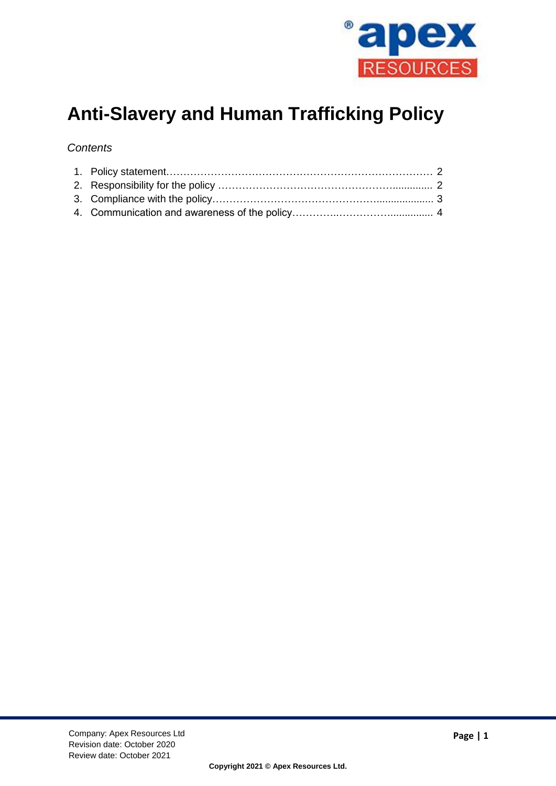

# **Anti-Slavery and Human Trafficking Policy**

## *Contents*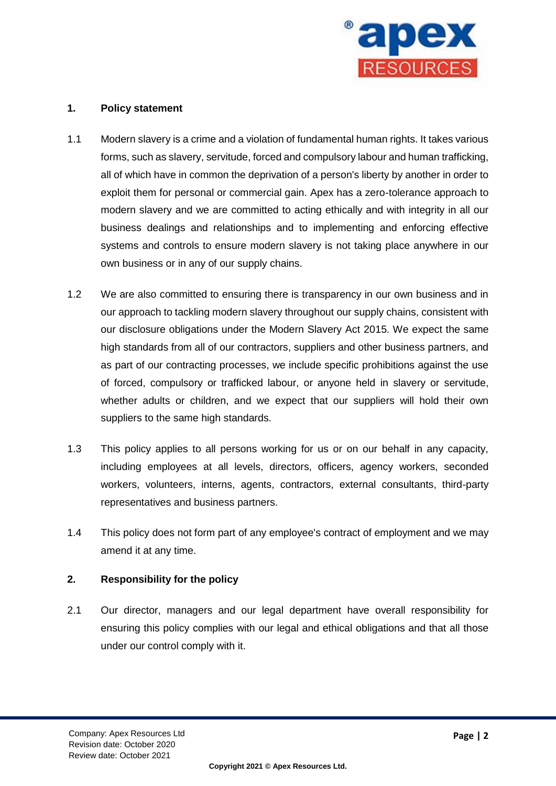

#### **1. Policy statement**

- 1.1 Modern slavery is a crime and a violation of fundamental human rights. It takes various forms, such as slavery, servitude, forced and compulsory labour and human trafficking, all of which have in common the deprivation of a person's liberty by another in order to exploit them for personal or commercial gain. Apex has a zero-tolerance approach to modern slavery and we are committed to acting ethically and with integrity in all our business dealings and relationships and to implementing and enforcing effective systems and controls to ensure modern slavery is not taking place anywhere in our own business or in any of our supply chains.
- 1.2 We are also committed to ensuring there is transparency in our own business and in our approach to tackling modern slavery throughout our supply chains, consistent with our disclosure obligations under the Modern Slavery Act 2015. We expect the same high standards from all of our contractors, suppliers and other business partners, and as part of our contracting processes, we include specific prohibitions against the use of forced, compulsory or trafficked labour, or anyone held in slavery or servitude, whether adults or children, and we expect that our suppliers will hold their own suppliers to the same high standards.
- 1.3 This policy applies to all persons working for us or on our behalf in any capacity, including employees at all levels, directors, officers, agency workers, seconded workers, volunteers, interns, agents, contractors, external consultants, third-party representatives and business partners.
- 1.4 This policy does not form part of any employee's contract of employment and we may amend it at any time.

## **2. Responsibility for the policy**

2.1 Our director, managers and our legal department have overall responsibility for ensuring this policy complies with our legal and ethical obligations and that all those under our control comply with it.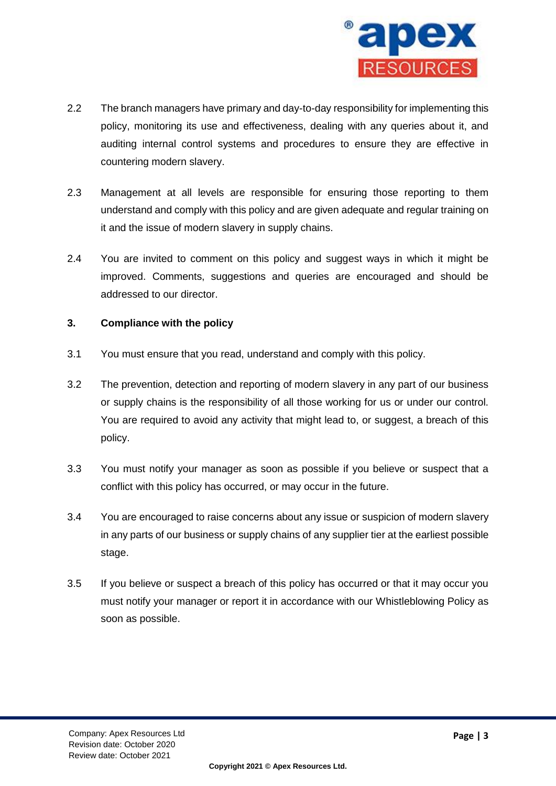

- 2.2 The branch managers have primary and day-to-day responsibility for implementing this policy, monitoring its use and effectiveness, dealing with any queries about it, and auditing internal control systems and procedures to ensure they are effective in countering modern slavery.
- 2.3 Management at all levels are responsible for ensuring those reporting to them understand and comply with this policy and are given adequate and regular training on it and the issue of modern slavery in supply chains.
- 2.4 You are invited to comment on this policy and suggest ways in which it might be improved. Comments, suggestions and queries are encouraged and should be addressed to our director.

### **3. Compliance with the policy**

- 3.1 You must ensure that you read, understand and comply with this policy.
- 3.2 The prevention, detection and reporting of modern slavery in any part of our business or supply chains is the responsibility of all those working for us or under our control. You are required to avoid any activity that might lead to, or suggest, a breach of this policy.
- 3.3 You must notify your manager as soon as possible if you believe or suspect that a conflict with this policy has occurred, or may occur in the future.
- 3.4 You are encouraged to raise concerns about any issue or suspicion of modern slavery in any parts of our business or supply chains of any supplier tier at the earliest possible stage.
- 3.5 If you believe or suspect a breach of this policy has occurred or that it may occur you must notify your manager or report it in accordance with our Whistleblowing Policy as soon as possible.